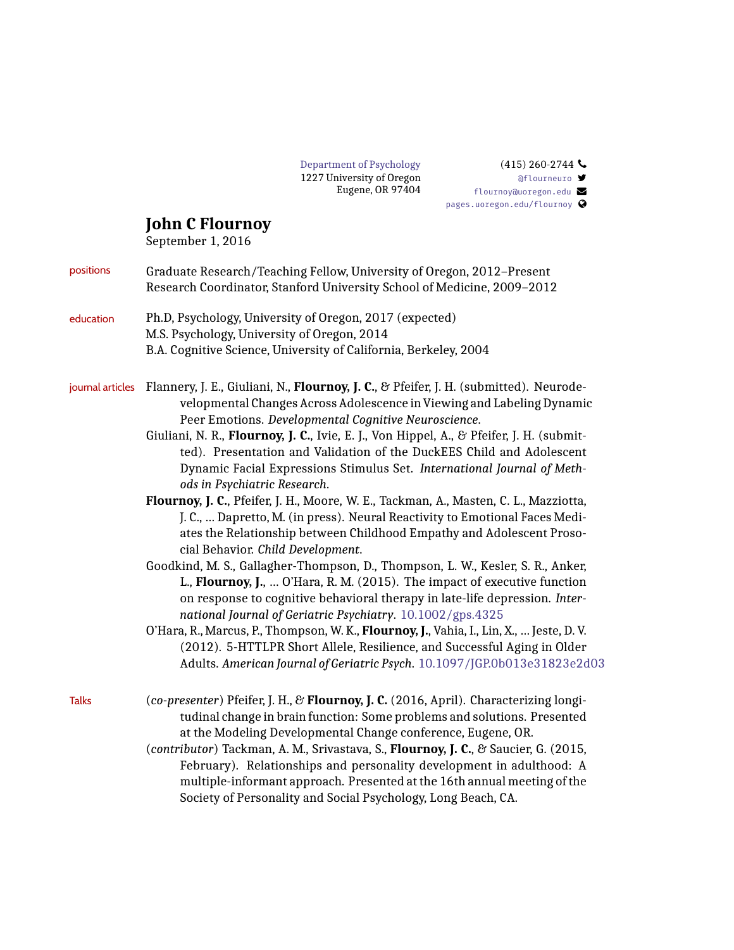

## $(415)$  260-2744 [@flourneuro](http://twitter.com/flourneuro) [flournoy@uoregon.edu](mailto:flournoy@uoregon.edu) [pages.uoregon.edu/flournoy](http://pages.uoregon.edu/flournoy)

## **John C Flournoy**

September 1, 2016

|              | ocpicmoci 1, 2010                                                                                                                                                                                                                                                                                         |
|--------------|-----------------------------------------------------------------------------------------------------------------------------------------------------------------------------------------------------------------------------------------------------------------------------------------------------------|
| positions    | Graduate Research/Teaching Fellow, University of Oregon, 2012-Present<br>Research Coordinator, Stanford University School of Medicine, 2009-2012                                                                                                                                                          |
| education    | Ph.D, Psychology, University of Oregon, 2017 (expected)<br>M.S. Psychology, University of Oregon, 2014                                                                                                                                                                                                    |
|              | B.A. Cognitive Science, University of California, Berkeley, 2004                                                                                                                                                                                                                                          |
|              | journal articles Flannery, J. E., Giuliani, N., Flournoy, J. C., & Pfeifer, J. H. (submitted). Neurode-<br>velopmental Changes Across Adolescence in Viewing and Labeling Dynamic<br>Peer Emotions. Developmental Cognitive Neuroscience.                                                                 |
|              | Giuliani, N. R., Flournoy, J. C., Ivie, E. J., Von Hippel, A., & Pfeifer, J. H. (submit-<br>ted). Presentation and Validation of the DuckEES Child and Adolescent<br>Dynamic Facial Expressions Stimulus Set. International Journal of Meth-<br>ods in Psychiatric Research.                              |
|              | Flournoy, J. C., Pfeifer, J. H., Moore, W. E., Tackman, A., Masten, C. L., Mazziotta,<br>J. C.,  Dapretto, M. (in press). Neural Reactivity to Emotional Faces Medi-<br>ates the Relationship between Childhood Empathy and Adolescent Proso-<br>cial Behavior. Child Development.                        |
|              | Goodkind, M. S., Gallagher-Thompson, D., Thompson, L. W., Kesler, S. R., Anker,<br>L., Flournoy, J.,  O'Hara, R. M. (2015). The impact of executive function<br>on response to cognitive behavioral therapy in late-life depression. Inter-<br>national Journal of Geriatric Psychiatry. 10.1002/gps.4325 |
|              | O'Hara, R., Marcus, P., Thompson, W. K., Flournoy, J., Vahia, I., Lin, X.,  Jeste, D. V.<br>(2012). 5-HTTLPR Short Allele, Resilience, and Successful Aging in Older<br>Adults. American Journal of Geriatric Psych. 10.1097/JGP.0b013e31823e2d03                                                         |
| <b>Talks</b> | (co-presenter) Pfeifer, J. H., & Flournoy, J. C. (2016, April). Characterizing longi-<br>tudinal change in brain function: Some problems and solutions. Presented<br>at the Modeling Developmental Change conference, Eugene, OR.                                                                         |
|              | (contributor) Tackman, A. M., Srivastava, S., Flournoy, J. C., & Saucier, G. (2015,                                                                                                                                                                                                                       |

February). Relationships and personality development in adulthood: A multiple-informant approach. Presented at the 16th annual meeting of the Society of Personality and Social Psychology, Long Beach, CA.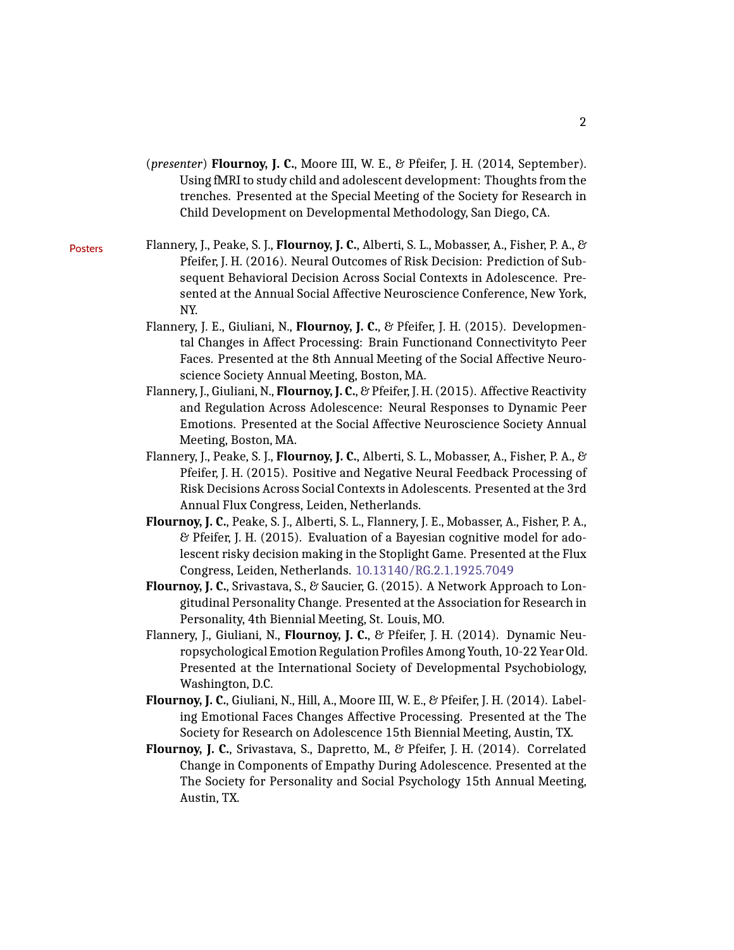- (*presenter*) **Flournoy, J. C.**, Moore III, W. E., & Pfeifer, J. H. (2014, September). Using fMRI to study child and adolescent development: Thoughts from the trenches. Presented at the Special Meeting of the Society for Research in Child Development on Developmental Methodology, San Diego, CA.
- Posters Flannery, J., Peake, S. J., **Flournoy, J. C.**, Alberti, S. L., Mobasser, A., Fisher, P. A., & Pfeifer, J. H. (2016). Neural Outcomes of Risk Decision: Prediction of Subsequent Behavioral Decision Across Social Contexts in Adolescence. Presented at the Annual Social Affective Neuroscience Conference, New York, NY.
	- Flannery, J. E., Giuliani, N., **Flournoy, J. C.**, & Pfeifer, J. H. (2015). Developmental Changes in Affect Processing: Brain Functionand Connectivityto Peer Faces. Presented at the 8th Annual Meeting of the Social Affective Neuroscience Society Annual Meeting, Boston, MA.
	- Flannery, J., Giuliani, N., **Flournoy, J. C.**, & Pfeifer, J. H. (2015). Affective Reactivity and Regulation Across Adolescence: Neural Responses to Dynamic Peer Emotions. Presented at the Social Affective Neuroscience Society Annual Meeting, Boston, MA.
	- Flannery, J., Peake, S. J., **Flournoy, J. C.**, Alberti, S. L., Mobasser, A., Fisher, P. A., & Pfeifer, J. H. (2015). Positive and Negative Neural Feedback Processing of Risk Decisions Across Social Contexts in Adolescents. Presented at the 3rd Annual Flux Congress, Leiden, Netherlands.
	- **Flournoy, J. C.**, Peake, S. J., Alberti, S. L., Flannery, J. E., Mobasser, A., Fisher, P. A., & Pfeifer, J. H. (2015). Evaluation of a Bayesian cognitive model for adolescent risky decision making in the Stoplight Game. Presented at the Flux Congress, Leiden, Netherlands. [10.13140/RG.2.1.1925.7049](http://doi.org/10.13140/RG.2.1.1925.7049)
	- **Flournoy, J. C.**, Srivastava, S., & Saucier, G. (2015). A Network Approach to Longitudinal Personality Change. Presented at the Association for Research in Personality, 4th Biennial Meeting, St. Louis, MO.
	- Flannery, J., Giuliani, N., **Flournoy, J. C.**, & Pfeifer, J. H. (2014). Dynamic Neuropsychological Emotion Regulation Profiles Among Youth, 10-22 Year Old. Presented at the International Society of Developmental Psychobiology, Washington, D.C.
	- **Flournoy, J. C.**, Giuliani, N., Hill, A., Moore III, W. E., & Pfeifer, J. H. (2014). Labeling Emotional Faces Changes Affective Processing. Presented at the The Society for Research on Adolescence 15th Biennial Meeting, Austin, TX.
	- **Flournoy, J. C.**, Srivastava, S., Dapretto, M., & Pfeifer, J. H. (2014). Correlated Change in Components of Empathy During Adolescence. Presented at the The Society for Personality and Social Psychology 15th Annual Meeting, Austin, TX.